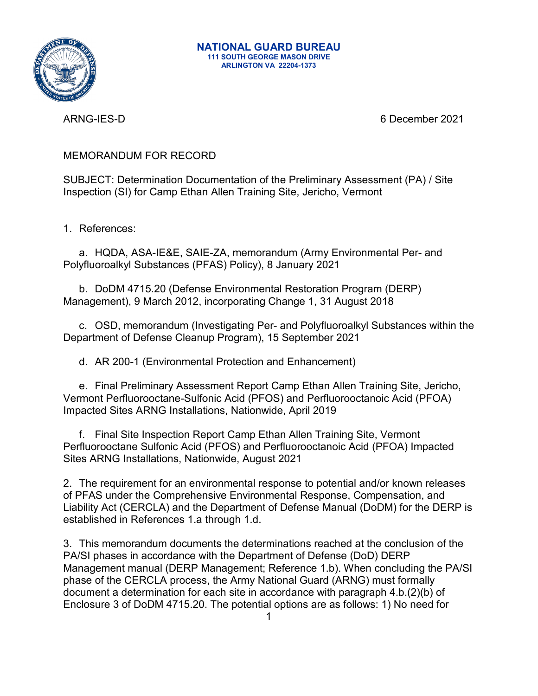

ARNG-IES-D 6 December 2021

MEMORANDUM FOR RECORD

SUBJECT: Determination Documentation of the Preliminary Assessment (PA) / Site Inspection (SI) for Camp Ethan Allen Training Site, Jericho, Vermont

1. References:

a. HQDA, ASA-IE&E, SAIE-ZA, memorandum (Army Environmental Per- and Polyfluoroalkyl Substances (PFAS) Policy), 8 January 2021

b. DoDM 4715.20 (Defense Environmental Restoration Program (DERP) Management), 9 March 2012, incorporating Change 1, 31 August 2018

c. OSD, memorandum (Investigating Per- and Polyfluoroalkyl Substances within the Department of Defense Cleanup Program), 15 September 2021

d. AR 200-1 (Environmental Protection and Enhancement)

e. Final Preliminary Assessment Report Camp Ethan Allen Training Site, Jericho, Vermont Perfluorooctane-Sulfonic Acid (PFOS) and Perfluorooctanoic Acid (PFOA) Impacted Sites ARNG Installations, Nationwide, April 2019

f. Final Site Inspection Report Camp Ethan Allen Training Site, Vermont Perfluorooctane Sulfonic Acid (PFOS) and Perfluorooctanoic Acid (PFOA) Impacted Sites ARNG Installations, Nationwide, August 2021

2. The requirement for an environmental response to potential and/or known releases of PFAS under the Comprehensive Environmental Response, Compensation, and Liability Act (CERCLA) and the Department of Defense Manual (DoDM) for the DERP is established in References 1.a through 1.d.

3. This memorandum documents the determinations reached at the conclusion of the PA/SI phases in accordance with the Department of Defense (DoD) DERP Management manual (DERP Management; Reference 1.b). When concluding the PA/SI phase of the CERCLA process, the Army National Guard (ARNG) must formally document a determination for each site in accordance with paragraph 4.b.(2)(b) of Enclosure 3 of DoDM 4715.20. The potential options are as follows: 1) No need for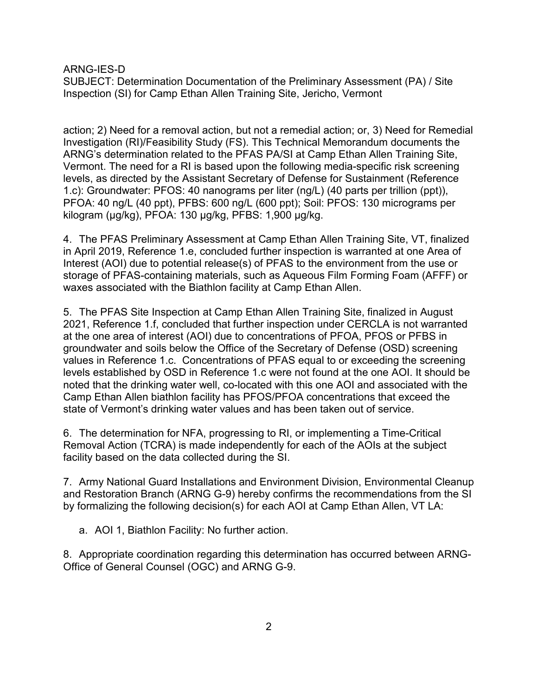ARNG-IES-D

SUBJECT: Determination Documentation of the Preliminary Assessment (PA) / Site Inspection (SI) for Camp Ethan Allen Training Site, Jericho, Vermont

action; 2) Need for a removal action, but not a remedial action; or, 3) Need for Remedial Investigation (RI)/Feasibility Study (FS). This Technical Memorandum documents the ARNG's determination related to the PFAS PA/SI at Camp Ethan Allen Training Site, Vermont. The need for a RI is based upon the following media-specific risk screening levels, as directed by the Assistant Secretary of Defense for Sustainment (Reference 1.c): Groundwater: PFOS: 40 nanograms per liter (ng/L) (40 parts per trillion (ppt)), PFOA: 40 ng/L (40 ppt), PFBS: 600 ng/L (600 ppt); Soil: PFOS: 130 micrograms per kilogram (μg/kg), PFOA: 130 μg/kg, PFBS: 1,900 μg/kg.

4. The PFAS Preliminary Assessment at Camp Ethan Allen Training Site, VT, finalized in April 2019, Reference 1.e, concluded further inspection is warranted at one Area of Interest (AOI) due to potential release(s) of PFAS to the environment from the use or storage of PFAS-containing materials, such as Aqueous Film Forming Foam (AFFF) or waxes associated with the Biathlon facility at Camp Ethan Allen.

5. The PFAS Site Inspection at Camp Ethan Allen Training Site, finalized in August 2021, Reference 1.f, concluded that further inspection under CERCLA is not warranted at the one area of interest (AOI) due to concentrations of PFOA, PFOS or PFBS in groundwater and soils below the Office of the Secretary of Defense (OSD) screening values in Reference 1.c. Concentrations of PFAS equal to or exceeding the screening levels established by OSD in Reference 1.c were not found at the one AOI. It should be noted that the drinking water well, co-located with this one AOI and associated with the Camp Ethan Allen biathlon facility has PFOS/PFOA concentrations that exceed the state of Vermont's drinking water values and has been taken out of service.

6. The determination for NFA, progressing to RI, or implementing a Time-Critical Removal Action (TCRA) is made independently for each of the AOIs at the subject facility based on the data collected during the SI.

7. Army National Guard Installations and Environment Division, Environmental Cleanup and Restoration Branch (ARNG G-9) hereby confirms the recommendations from the SI by formalizing the following decision(s) for each AOI at Camp Ethan Allen, VT LA:

a. AOI 1, Biathlon Facility: No further action.

8. Appropriate coordination regarding this determination has occurred between ARNG-Office of General Counsel (OGC) and ARNG G-9.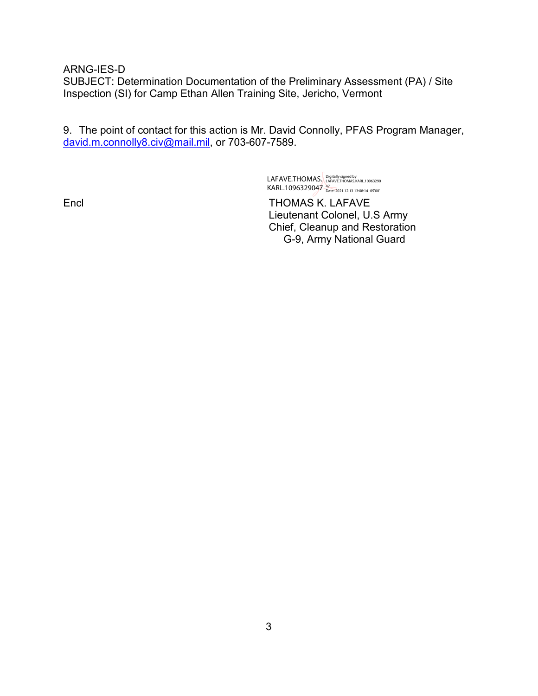ARNG-IES-D

SUBJECT: Determination Documentation of the Preliminary Assessment (PA) / Site Inspection (SI) for Camp Ethan Allen Training Site, Jericho, Vermont

9. The point of contact for this action is Mr. David Connolly, PFAS Program Manager, [david.m.connolly8.civ@mail.mil,](mailto:david.m.connolly8.civ@mail.mil) or 703-607-7589.

> LAFAVE.THOMAS. Digitally signed by<br>LAFAVE.THOMAS. LAFAVE.THOMAS.KARL.10963290 KARL.1096329047<sup>47</sup><br>Date: 2021.12.13 13:08:14 -05'00'

Encl THOMAS K. LAFAVE Lieutenant Colonel, U.S Army Chief, Cleanup and Restoration G-9, Army National Guard